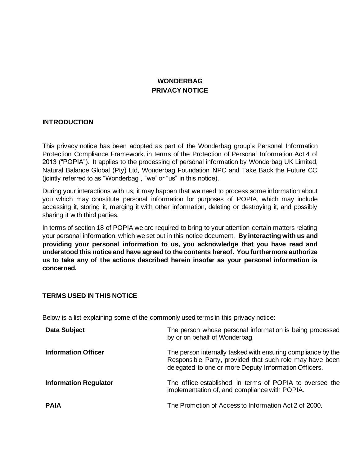# **WONDERBAG PRIVACY NOTICE**

## **INTRODUCTION**

This privacy notice has been adopted as part of the Wonderbag group's Personal Information Protection Compliance Framework, in terms of the Protection of Personal Information Act 4 of 2013 ("POPIA"). It applies to the processing of personal information by Wonderbag UK Limited, Natural Balance Global (Pty) Ltd, Wonderbag Foundation NPC and Take Back the Future CC (jointly referred to as "Wonderbag", "we" or "us" in this notice).

During your interactions with us, it may happen that we need to process some information about you which may constitute personal information for purposes of POPIA, which may include accessing it, storing it, merging it with other information, deleting or destroying it, and possibly sharing it with third parties.

In terms of section 18 of POPIA we are required to bring to your attention certain matters relating your personal information, which we set out in this notice document. **By interacting with us and providing your personal information to us, you acknowledge that you have read and understood this notice and have agreed to the contents hereof. You furthermore authorize us to take any of the actions described herein insofar as your personal information is concerned.**

## **TERMS USED IN THIS NOTICE**

Below is a list explaining some of the commonly used terms in this privacy notice:

| <b>Data Subject</b>          | The person whose personal information is being processed<br>by or on behalf of Wonderbag.                                                                                         |
|------------------------------|-----------------------------------------------------------------------------------------------------------------------------------------------------------------------------------|
| <b>Information Officer</b>   | The person internally tasked with ensuring compliance by the<br>Responsible Party, provided that such role may have been<br>delegated to one or more Deputy Information Officers. |
| <b>Information Regulator</b> | The office established in terms of POPIA to oversee the<br>implementation of, and compliance with POPIA.                                                                          |
| <b>PAIA</b>                  | The Promotion of Access to Information Act 2 of 2000.                                                                                                                             |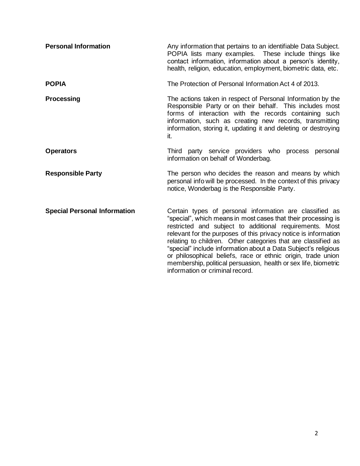| <b>Personal Information</b>         | Any information that pertains to an identifiable Data Subject.<br>POPIA lists many examples. These include things like<br>contact information, information about a person's identity,<br>health, religion, education, employment, biometric data, etc.                                                                                                                                                                                                                                                                                                          |
|-------------------------------------|-----------------------------------------------------------------------------------------------------------------------------------------------------------------------------------------------------------------------------------------------------------------------------------------------------------------------------------------------------------------------------------------------------------------------------------------------------------------------------------------------------------------------------------------------------------------|
| <b>POPIA</b>                        | The Protection of Personal Information Act 4 of 2013.                                                                                                                                                                                                                                                                                                                                                                                                                                                                                                           |
| <b>Processing</b>                   | The actions taken in respect of Personal Information by the<br>Responsible Party or on their behalf. This includes most<br>forms of interaction with the records containing such<br>information, such as creating new records, transmitting<br>information, storing it, updating it and deleting or destroying<br>it.                                                                                                                                                                                                                                           |
| <b>Operators</b>                    | Third party service providers who process personal<br>information on behalf of Wonderbag.                                                                                                                                                                                                                                                                                                                                                                                                                                                                       |
| <b>Responsible Party</b>            | The person who decides the reason and means by which<br>personal info will be processed. In the context of this privacy<br>notice, Wonderbag is the Responsible Party.                                                                                                                                                                                                                                                                                                                                                                                          |
| <b>Special Personal Information</b> | Certain types of personal information are classified as<br>"special", which means in most cases that their processing is<br>restricted and subject to additional requirements. Most<br>relevant for the purposes of this privacy notice is information<br>relating to children. Other categories that are classified as<br>"special" include information about a Data Subject's religious<br>or philosophical beliefs, race or ethnic origin, trade union<br>membership, political persuasion, health or sex life, biometric<br>information or criminal record. |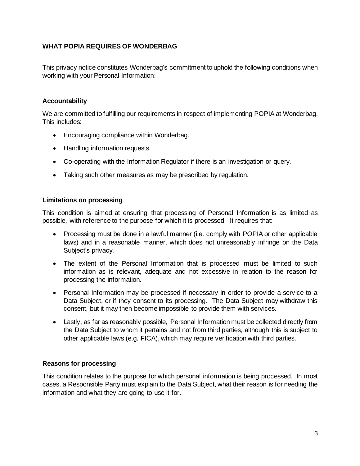# **WHAT POPIA REQUIRES OF WONDERBAG**

This privacy notice constitutes Wonderbag's commitment to uphold the following conditions when working with your Personal Information:

# **Accountability**

We are committed to fulfilling our requirements in respect of implementing POPIA at Wonderbag. This includes:

- Encouraging compliance within Wonderbag.
- Handling information requests.
- Co-operating with the Information Regulator if there is an investigation or query.
- Taking such other measures as may be prescribed by regulation.

## **Limitations on processing**

This condition is aimed at ensuring that processing of Personal Information is as limited as possible, with reference to the purpose for which it is processed. It requires that:

- Processing must be done in a lawful manner (i.e. comply with POPIA or other applicable laws) and in a reasonable manner, which does not unreasonably infringe on the Data Subject's privacy.
- The extent of the Personal Information that is processed must be limited to such information as is relevant, adequate and not excessive in relation to the reason for processing the information.
- Personal Information may be processed if necessary in order to provide a service to a Data Subject, or if they consent to its processing. The Data Subject may withdraw this consent, but it may then become impossible to provide them with services.
- Lastly, as far as reasonably possible, Personal Information must be collected directly from the Data Subject to whom it pertains and not from third parties, although this is subject to other applicable laws (e.g. FICA), which may require verification with third parties.

## **Reasons for processing**

This condition relates to the purpose for which personal information is being processed. In most cases, a Responsible Party must explain to the Data Subject, what their reason is for needing the information and what they are going to use it for.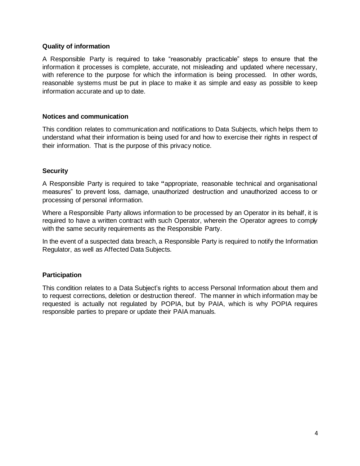#### **Quality of information**

A Responsible Party is required to take "reasonably practicable" steps to ensure that the information it processes is complete, accurate, not misleading and updated where necessary, with reference to the purpose for which the information is being processed. In other words, reasonable systems must be put in place to make it as simple and easy as possible to keep information accurate and up to date.

#### **Notices and communication**

This condition relates to communication and notifications to Data Subjects, which helps them to understand what their information is being used for and how to exercise their rights in respect of their information. That is the purpose of this privacy notice.

#### **Security**

A Responsible Party is required to take **"**appropriate, reasonable technical and organisational measures" to prevent loss, damage, unauthorized destruction and unauthorized access to or processing of personal information.

Where a Responsible Party allows information to be processed by an Operator in its behalf, it is required to have a written contract with such Operator, wherein the Operator agrees to comply with the same security requirements as the Responsible Party.

In the event of a suspected data breach, a Responsible Party is required to notify the Information Regulator, as well as Affected Data Subjects.

## **Participation**

This condition relates to a Data Subject's rights to access Personal Information about them and to request corrections, deletion or destruction thereof. The manner in which information may be requested is actually not regulated by POPIA, but by PAIA, which is why POPIA requires responsible parties to prepare or update their PAIA manuals.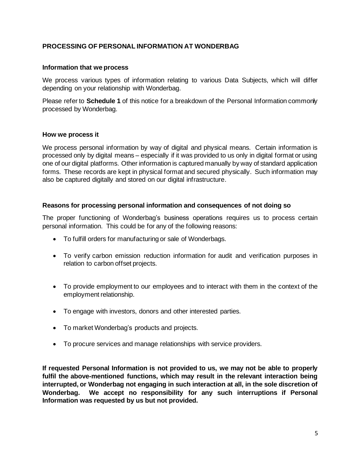# **PROCESSING OF PERSONAL INFORMATION AT WONDERBAG**

#### **Information that we process**

We process various types of information relating to various Data Subjects, which will differ depending on your relationship with Wonderbag.

Please refer to **Schedule 1** of this notice for a breakdown of the Personal Information commonly processed by Wonderbag.

#### **How we process it**

We process personal information by way of digital and physical means. Certain information is processed only by digital means – especially if it was provided to us only in digital format or using one of our digital platforms. Other information is captured manually by way of standard application forms. These records are kept in physical format and secured physically. Such information may also be captured digitally and stored on our digital infrastructure.

#### **Reasons for processing personal information and consequences of not doing so**

The proper functioning of Wonderbag's business operations requires us to process certain personal information. This could be for any of the following reasons:

- To fulfill orders for manufacturing or sale of Wonderbags.
- To verify carbon emission reduction information for audit and verification purposes in relation to carbon offset projects.
- To provide employment to our employees and to interact with them in the context of the employment relationship.
- To engage with investors, donors and other interested parties.
- To market Wonderbag's products and projects.
- To procure services and manage relationships with service providers.

**If requested Personal Information is not provided to us, we may not be able to properly fulfil the above-mentioned functions, which may result in the relevant interaction being interrupted, or Wonderbag not engaging in such interaction at all, in the sole discretion of Wonderbag. We accept no responsibility for any such interruptions if Personal Information was requested by us but not provided.**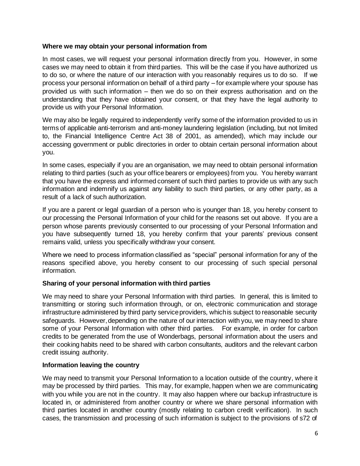# **Where we may obtain your personal information from**

In most cases, we will request your personal information directly from you. However, in some cases we may need to obtain it from third parties. This will be the case if you have authorized us to do so, or where the nature of our interaction with you reasonably requires us to do so. If we process your personal information on behalf of a third party – for example where your spouse has provided us with such information – then we do so on their express authorisation and on the understanding that they have obtained your consent, or that they have the legal authority to provide us with your Personal Information.

We may also be legally required to independently verify some of the information provided to us in terms of applicable anti-terrorism and anti-money laundering legislation (including, but not limited to, the Financial Intelligence Centre Act 38 of 2001, as amended), which may include our accessing government or public directories in order to obtain certain personal information about you.

In some cases, especially if you are an organisation, we may need to obtain personal information relating to third parties (such as your office bearers or employees) from you. You hereby warrant that you have the express and informed consent of such third parties to provide us with any such information and indemnify us against any liability to such third parties, or any other party, as a result of a lack of such authorization.

If you are a parent or legal guardian of a person who is younger than 18, you hereby consent to our processing the Personal Information of your child for the reasons set out above. If you are a person whose parents previously consented to our processing of your Personal Information and you have subsequently turned 18, you hereby confirm that your parents' previous consent remains valid, unless you specifically withdraw your consent.

Where we need to process information classified as "special" personal information for any of the reasons specified above, you hereby consent to our processing of such special personal information.

# **Sharing of your personal information with third parties**

We may need to share your Personal Information with third parties. In general, this is limited to transmitting or storing such information through, or on, electronic communication and storage infrastructure administered by third party service providers, which is subject to reasonable security safeguards. However, depending on the nature of our interaction with you, we may need to share some of your Personal Information with other third parties. For example, in order for carbon credits to be generated from the use of Wonderbags, personal information about the users and their cooking habits need to be shared with carbon consultants, auditors and the relevant carbon credit issuing authority.

# **Information leaving the country**

We may need to transmit your Personal Information to a location outside of the country, where it may be processed by third parties. This may, for example, happen when we are communicating with you while you are not in the country. It may also happen where our backup infrastructure is located in, or administered from another country or where we share personal information with third parties located in another country (mostly relating to carbon credit verification). In such cases, the transmission and processing of such information is subject to the provisions of s72 of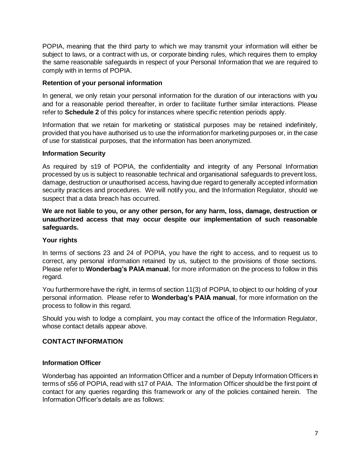POPIA, meaning that the third party to which we may transmit your information will either be subject to laws, or a contract with us, or corporate binding rules, which requires them to employ the same reasonable safeguards in respect of your Personal Information that we are required to comply with in terms of POPIA.

# **Retention of your personal information**

In general, we only retain your personal information for the duration of our interactions with you and for a reasonable period thereafter, in order to facilitate further similar interactions. Please refer to **Schedule 2** of this policy for instances where specific retention periods apply.

Information that we retain for marketing or statistical purposes may be retained indefinitely, provided that you have authorised us to use the information for marketing purposes or, in the case of use for statistical purposes, that the information has been anonymized.

## **Information Security**

As required by s19 of POPIA, the confidentiality and integrity of any Personal Information processed by us is subject to reasonable technical and organisational safeguards to prevent loss, damage, destruction or unauthorised access, having due regard to generally accepted information security practices and procedures. We will notify you, and the Information Regulator, should we suspect that a data breach has occurred.

**We are not liable to you, or any other person, for any harm, loss, damage, destruction or unauthorized access that may occur despite our implementation of such reasonable safeguards.**

## **Your rights**

In terms of sections 23 and 24 of POPIA, you have the right to access, and to request us to correct, any personal information retained by us, subject to the provisions of those sections. Please refer to **Wonderbag's PAIA manual**, for more information on the process to follow in this regard.

You furthermore have the right, in terms of section 11(3) of POPIA, to object to our holding of your personal information. Please refer to **Wonderbag's PAIA manual**, for more information on the process to follow in this regard.

Should you wish to lodge a complaint, you may contact the office of the Information Regulator, whose contact details appear above.

## **CONTACT INFORMATION**

## **Information Officer**

Wonderbag has appointed an Information Officer and a number of Deputy Information Officers in terms of s56 of POPIA, read with s17 of PAIA. The Information Officer should be the first point of contact for any queries regarding this framework or any of the policies contained herein. The Information Officer's details are as follows: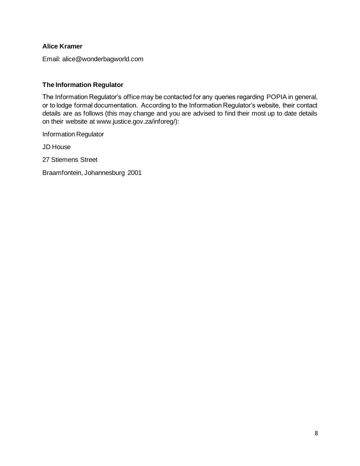# **Alice Kramer**

Email: alice@wonderbagworld.com

# **The Information Regulator**

The Information Regulator's office may be contacted for any queries regarding POPIA in general, or to lodge formal documentation. According to the Information Regulator's website, their contact details are as follows (this may change and you are advised to find their most up to date details on their website at www.justice.gov.za/inforeg/):

Information Regulator

JD House

27 Stiemens Street

Braamfontein, Johannesburg 2001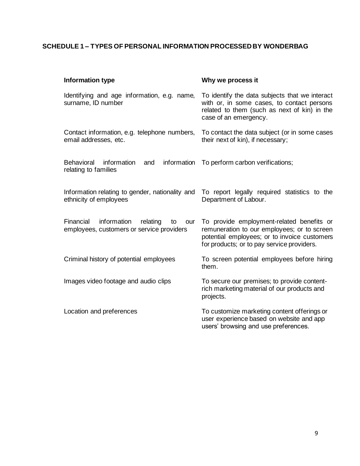# **SCHEDULE 1 – TYPES OF PERSONAL INFORMATION PROCESSED BY WONDERBAG**

| Information type                                                                               | Why we process it                                                                                                                                                                      |
|------------------------------------------------------------------------------------------------|----------------------------------------------------------------------------------------------------------------------------------------------------------------------------------------|
| Identifying and age information, e.g. name,<br>surname, ID number                              | To identify the data subjects that we interact<br>with or, in some cases, to contact persons<br>related to them (such as next of kin) in the<br>case of an emergency.                  |
| Contact information, e.g. telephone numbers,<br>email addresses, etc.                          | To contact the data subject (or in some cases<br>their next of kin), if necessary;                                                                                                     |
| <b>Behavioral</b><br>information<br>information<br>and<br>relating to families                 | To perform carbon verifications;                                                                                                                                                       |
| Information relating to gender, nationality and<br>ethnicity of employees                      | To report legally required statistics to the<br>Department of Labour.                                                                                                                  |
| Financial<br>information<br>relating<br>to<br>our<br>employees, customers or service providers | To provide employment-related benefits or<br>remuneration to our employees; or to screen<br>potential employees; or to invoice customers<br>for products; or to pay service providers. |
| Criminal history of potential employees                                                        | To screen potential employees before hiring<br>them.                                                                                                                                   |
| Images video footage and audio clips                                                           | To secure our premises; to provide content-<br>rich marketing material of our products and<br>projects.                                                                                |
| Location and preferences                                                                       | To customize marketing content offerings or<br>user experience based on website and app<br>users' browsing and use preferences.                                                        |